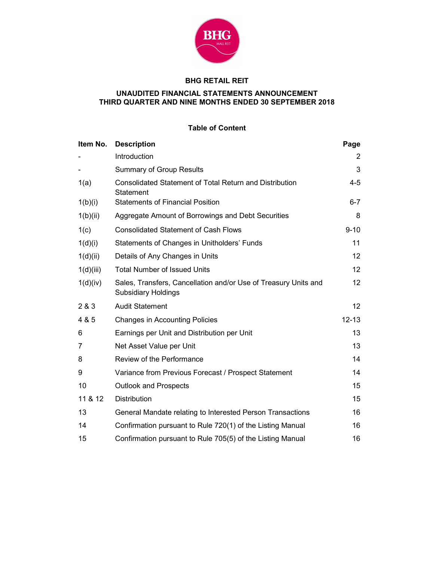

#### BHG RETAIL REIT

# UNAUDITED FINANCIAL STATEMENTS ANNOUNCEMENT THIRD QUARTER AND NINE MONTHS ENDED 30 SEPTEMBER 2018

## Table of Content

| Item No.  | <b>Description</b>                                                                            | Page            |
|-----------|-----------------------------------------------------------------------------------------------|-----------------|
|           | Introduction                                                                                  | 2               |
|           | <b>Summary of Group Results</b>                                                               | 3               |
| 1(a)      | <b>Consolidated Statement of Total Return and Distribution</b><br><b>Statement</b>            | $4 - 5$         |
| 1(b)(i)   | <b>Statements of Financial Position</b>                                                       | $6 - 7$         |
| 1(b)(ii)  | Aggregate Amount of Borrowings and Debt Securities                                            | 8               |
| 1(c)      | <b>Consolidated Statement of Cash Flows</b>                                                   | $9 - 10$        |
| 1(d)(i)   | Statements of Changes in Unitholders' Funds                                                   | 11              |
| 1(d)(ii)  | Details of Any Changes in Units                                                               | 12              |
| 1(d)(iii) | <b>Total Number of Issued Units</b>                                                           | 12 <sup>2</sup> |
| 1(d)(iv)  | Sales, Transfers, Cancellation and/or Use of Treasury Units and<br><b>Subsidiary Holdings</b> | 12              |
| 2 & 3     | <b>Audit Statement</b>                                                                        | 12 <sup>°</sup> |
| 4 & 5     | <b>Changes in Accounting Policies</b>                                                         | $12 - 13$       |
| 6         | Earnings per Unit and Distribution per Unit                                                   | 13              |
| 7         | Net Asset Value per Unit                                                                      | 13              |
| 8         | Review of the Performance                                                                     | 14              |
| 9         | Variance from Previous Forecast / Prospect Statement                                          | 14              |
| 10        | <b>Outlook and Prospects</b>                                                                  | 15              |
| 11 & 12   | <b>Distribution</b>                                                                           | 15              |
| 13        | General Mandate relating to Interested Person Transactions                                    | 16              |
| 14        | Confirmation pursuant to Rule 720(1) of the Listing Manual                                    | 16              |
| 15        | Confirmation pursuant to Rule 705(5) of the Listing Manual                                    | 16              |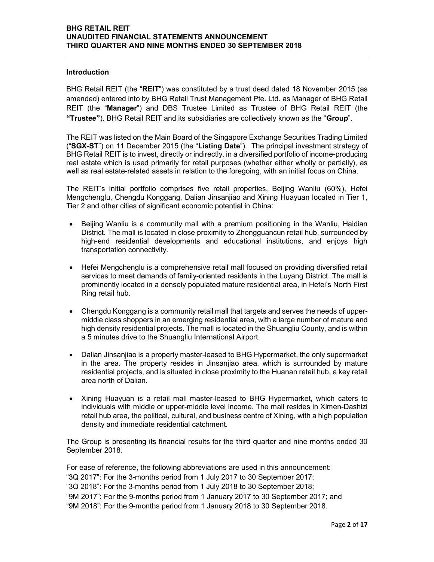#### Introduction

BHG Retail REIT (the "REIT") was constituted by a trust deed dated 18 November 2015 (as amended) entered into by BHG Retail Trust Management Pte. Ltd. as Manager of BHG Retail REIT (the "Manager") and DBS Trustee Limited as Trustee of BHG Retail REIT (the "Trustee"). BHG Retail REIT and its subsidiaries are collectively known as the "Group".

The REIT was listed on the Main Board of the Singapore Exchange Securities Trading Limited ("SGX-ST") on 11 December 2015 (the "Listing Date"). The principal investment strategy of BHG Retail REIT is to invest, directly or indirectly, in a diversified portfolio of income-producing real estate which is used primarily for retail purposes (whether either wholly or partially), as well as real estate-related assets in relation to the foregoing, with an initial focus on China.

The REIT's initial portfolio comprises five retail properties, Beijing Wanliu (60%), Hefei Mengchenglu, Chengdu Konggang, Dalian Jinsanjiao and Xining Huayuan located in Tier 1, Tier 2 and other cities of significant economic potential in China:

- Beijing Wanliu is a community mall with a premium positioning in the Wanliu, Haidian District. The mall is located in close proximity to Zhongguancun retail hub, surrounded by high-end residential developments and educational institutions, and enjoys high transportation connectivity.
- Hefei Mengchenglu is a comprehensive retail mall focused on providing diversified retail services to meet demands of family-oriented residents in the Luyang District. The mall is prominently located in a densely populated mature residential area, in Hefei's North First Ring retail hub.
- Chengdu Konggang is a community retail mall that targets and serves the needs of uppermiddle class shoppers in an emerging residential area, with a large number of mature and high density residential projects. The mall is located in the Shuangliu County, and is within a 5 minutes drive to the Shuangliu International Airport.
- Dalian Jinsanjiao is a property master-leased to BHG Hypermarket, the only supermarket in the area. The property resides in Jinsanjiao area, which is surrounded by mature residential projects, and is situated in close proximity to the Huanan retail hub, a key retail area north of Dalian.
- Xining Huayuan is a retail mall master-leased to BHG Hypermarket, which caters to individuals with middle or upper-middle level income. The mall resides in Ximen-Dashizi retail hub area, the political, cultural, and business centre of Xining, with a high population density and immediate residential catchment.

The Group is presenting its financial results for the third quarter and nine months ended 30 September 2018.

For ease of reference, the following abbreviations are used in this announcement: "3Q 2017": For the 3-months period from 1 July 2017 to 30 September 2017; "3Q 2018": For the 3-months period from 1 July 2018 to 30 September 2018; "9M 2017": For the 9-months period from 1 January 2017 to 30 September 2017; and "9M 2018": For the 9-months period from 1 January 2018 to 30 September 2018.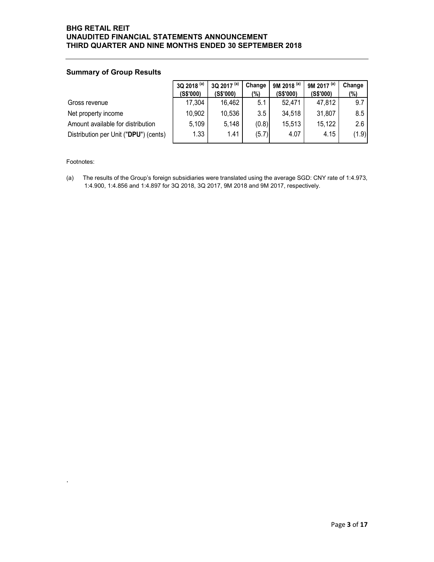#### Summary of Group Results

| <b>BHG RETAIL REIT</b>                                |                        |                        |                |                        |                        |               |
|-------------------------------------------------------|------------------------|------------------------|----------------|------------------------|------------------------|---------------|
| UNAUDITED FINANCIAL STATEMENTS ANNOUNCEMENT           |                        |                        |                |                        |                        |               |
| THIRD QUARTER AND NINE MONTHS ENDED 30 SEPTEMBER 2018 |                        |                        |                |                        |                        |               |
|                                                       |                        |                        |                |                        |                        |               |
|                                                       |                        |                        |                |                        |                        |               |
|                                                       |                        |                        |                |                        |                        |               |
| <b>Summary of Group Results</b>                       |                        |                        |                |                        |                        |               |
|                                                       | 3Q 2018 <sup>(a)</sup> | 3Q 2017 <sup>(a)</sup> | Change         | 9M 2018 <sup>(a)</sup> | 9M 2017 <sup>(a)</sup> | Change        |
| Gross revenue                                         | (S\$'000)<br>17,304    | (S\$'000)<br>16,462    | (%)<br>5.1     | (S\$'000)<br>52,471    | (S\$'000)<br>47,812    | $(\%)$<br>9.7 |
| Net property income                                   | 10,902                 | 10,536                 | 3.5            | 34,518                 | 31,807                 | 8.5           |
| Amount available for distribution                     | 5,109                  | 5,148                  |                | 15,513                 | 15,122                 | 2.6           |
| Distribution per Unit ("DPU") (cents)                 | 1.33                   | 1.41                   | (0.8)<br>(5.7) | 4.07                   | 4.15                   | (1.9)         |

.

(a) The results of the Group's foreign subsidiaries were translated using the average SGD: CNY rate of 1:4.973, 1:4.900, 1:4.856 and 1:4.897 for 3Q 2018, 3Q 2017, 9M 2018 and 9M 2017, respectively.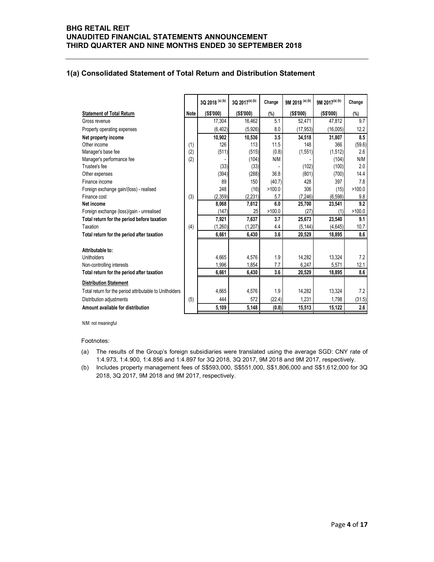#### 1(a) Consolidated Statement of Total Return and Distribution Statement

| <b>Consolidated Statement of Total Return and Distribution Statement</b> |            |                     |                     |               |                     |                     |            |
|--------------------------------------------------------------------------|------------|---------------------|---------------------|---------------|---------------------|---------------------|------------|
|                                                                          |            |                     |                     |               |                     |                     |            |
|                                                                          |            |                     |                     |               |                     |                     |            |
|                                                                          |            | 3Q 2018 (a) (b)     | 3Q 2017(a) (b)      |               | 9M 2018 (a) (b)     | 9M 2017(a) (b)      |            |
|                                                                          |            |                     |                     | Change        |                     |                     | Change     |
| <b>Statement of Total Return</b><br>Gross revenue                        | Note       | (S\$'000)<br>17,304 | (S\$'000)<br>16,462 | $(\%)$<br>5.1 | (S\$'000)<br>52,471 | (S\$'000)<br>47,812 | (%)<br>9.7 |
| Property operating expenses                                              |            | (6, 402)            | (5,926)             | 8.0           | (17, 953)           | (16,005)            | 12.2       |
|                                                                          |            | 10,902              |                     | 3.5           | 34,518              |                     | 8.5        |
| Net property income<br>Other income                                      |            | 126                 | 10,536<br>113       | 11.5          | 148                 | 31,807<br>366       | (59.6)     |
| Manager's base fee                                                       | (1)<br>(2) | (511)               | (515)               | (0.8)         | (1, 551)            | (1, 512)            | 2.6        |
| Manager's performance fee                                                | (2)        |                     | (104)               | N/M           |                     | (104)               | N/M        |
| Trustee's fee                                                            |            | (33)                | (33)                |               | (102)               | (100)               | 2.0        |
| Other expenses                                                           |            | (394)               | (288)               | 36.8          | (801)               | (700)               | 14.4       |
| Finance income                                                           |            | 89                  | 150                 | (40.7)        | 428                 | 397                 | 7.8        |
| Foreign exchange gain/(loss) - realised                                  |            | 248                 | (16)                | >100.0        | 306                 | (15)                | >100.0     |
| Finance cost                                                             | (3)        | (2, 359)            | (2, 231)            | 5.7           | (7, 246)            | (6, 598)            | 9.8        |
| Net income                                                               |            | 8,068               | 7,612               | 6.0           | 25,700              | 23,541              | 9.2        |
| Foreign exchange (loss)/gain - unrealised                                |            | (147)               | 25                  | >100.0        | (27)                | (1)                 | >100.0     |
| Total return for the period before taxation                              |            | 7,921               | 7,637               | 3.7           | 25,673              | 23,540              | 9.1        |
| Taxation                                                                 | (4)        | (1,260)             | (1, 207)            | 4.4           | (5, 144)            | (4,645)             | 10.7       |
| Total return for the period after taxation                               |            | 6,661               | 6,430               | 3.6           | 20,529              | 18,895              | 8.6        |
| Attributable to:                                                         |            |                     |                     |               |                     |                     |            |
| Unitholders                                                              |            | 4,665               | 4,576               | 1.9           | 14,282              | 13,324              | 7.2        |
| Non-controlling interests                                                |            | 1,996               | 1,854               | 7.7           | 6,247               | 5,571               | 12.1       |
| Total return for the period after taxation                               |            | 6,661               | 6,430               | 3.6           | 20,529              | 18,895              | $\bf 8.6$  |
| <b>Distribution Statement</b>                                            |            |                     |                     |               |                     |                     |            |
|                                                                          |            | 4,665               | 4,576               | 1.9           | 14,282              | 13,324              | 7.2        |
|                                                                          |            | 444                 | 572                 | (22.4)        | 1,231               | 1,798               | (31.5)     |
| Total return for the period attributable to Unitholders                  |            |                     |                     |               |                     |                     |            |
| Distribution adjustments<br>Amount available for distribution            | (5)        | 5,109               | 5,148               | (0.8)         | 15,513              | 15,122              | 2.6        |

#### Footnotes:

- (a) The results of the Group's foreign subsidiaries were translated using the average SGD: CNY rate of 1:4.973, 1:4.900, 1:4.856 and 1:4.897 for 3Q 2018, 3Q 2017, 9M 2018 and 9M 2017, respectively.
- (b) Includes property management fees of S\$593,000, S\$551,000, S\$1,806,000 and S\$1,612,000 for 3Q 2018, 3Q 2017, 9M 2018 and 9M 2017, respectively.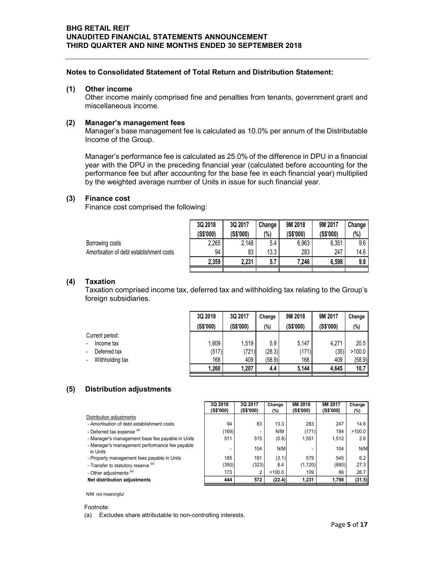#### Notes to Consolidated Statement of Total Return and Distribution Statement:

#### (1) Other income

#### (2) Manager's management fees

#### (3) Finance cost

| RD QUARTER AND NINE MONTHS ENDED 30 SEPTEMBER 2018                                                                                                                                                                                                                                                                                                           |                |                |                  |                |               |                |
|--------------------------------------------------------------------------------------------------------------------------------------------------------------------------------------------------------------------------------------------------------------------------------------------------------------------------------------------------------------|----------------|----------------|------------------|----------------|---------------|----------------|
| es to Consolidated Statement of Total Return and Distribution Statement:                                                                                                                                                                                                                                                                                     |                |                |                  |                |               |                |
| Other income<br>Other income mainly comprised fine and penalties from tenants, government grant and<br>miscellaneous income.                                                                                                                                                                                                                                 |                |                |                  |                |               |                |
| <b>Manager's management fees</b><br>Manager's base management fee is calculated as 10.0% per annum of the Distributable<br>Income of the Group.                                                                                                                                                                                                              |                |                |                  |                |               |                |
| Manager's performance fee is calculated as 25.0% of the difference in DPU in a financial<br>year with the DPU in the preceding financial year (calculated before accounting for the<br>performance fee but after accounting for the base fee in each financial year) multiplied<br>by the weighted average number of Units in issue for such financial year. |                |                |                  |                |               |                |
| <b>Finance cost</b><br>Finance cost comprised the following:                                                                                                                                                                                                                                                                                                 |                |                |                  |                |               |                |
|                                                                                                                                                                                                                                                                                                                                                              | 3Q 2018        | 3Q 2017        | Change           | 9M 2018        | 9M 2017       | Change         |
|                                                                                                                                                                                                                                                                                                                                                              | (S\$'000)      | (S\$'000)      | (%)              | (S\$'000)      | (S\$'000)     | (%)            |
| Borrowing costs                                                                                                                                                                                                                                                                                                                                              | 2,265          | 2,148          | 5.4              | 6,963          | 6,351         | 9.6            |
| Amortisation of debt establishment costs                                                                                                                                                                                                                                                                                                                     | 94             | 83             | 13.3             | 283            | 247           | 14.6           |
|                                                                                                                                                                                                                                                                                                                                                              | 2,359          | 2,231          | 5.7              | 7,246          | 6,598         | 9.8            |
| <b>Taxation</b><br>Taxation comprised income tax, deferred tax and withholding tax relating to the Group's<br>foreign subsidiaries.                                                                                                                                                                                                                          |                |                |                  |                |               |                |
|                                                                                                                                                                                                                                                                                                                                                              | 3Q 2018        | 3Q 2017        | Change           | 9M 2018        | 9M 2017       | Change         |
|                                                                                                                                                                                                                                                                                                                                                              | (S\$'000)      | (S\$'000)      | (%)              | (S\$'000)      | (S\$'000)     | (%)            |
| Current period:                                                                                                                                                                                                                                                                                                                                              |                |                |                  |                |               |                |
| Income tax<br>Deferred tax                                                                                                                                                                                                                                                                                                                                   | 1,609<br>(517) | 1,519<br>(721) | 5.9              | 5,147<br>(171) | 4,271<br>(35) | 20.5<br>>100.0 |
| Withholding tax                                                                                                                                                                                                                                                                                                                                              | 168            | 409            | (28.3)<br>(58.9) | 168            | 409           | (58.9)         |

## (4) Taxation

| <b>INVING OF THE OLD TA</b>                                                                                                                                                                                                                                                                                                                                  |                                |                                |                                |                                |                               |                                  |  |
|--------------------------------------------------------------------------------------------------------------------------------------------------------------------------------------------------------------------------------------------------------------------------------------------------------------------------------------------------------------|--------------------------------|--------------------------------|--------------------------------|--------------------------------|-------------------------------|----------------------------------|--|
| Manager's performance fee is calculated as 25.0% of the difference in DPU in a financial<br>year with the DPU in the preceding financial year (calculated before accounting for the<br>performance fee but after accounting for the base fee in each financial year) multiplied<br>by the weighted average number of Units in issue for such financial year. |                                |                                |                                |                                |                               |                                  |  |
| <b>Finance cost</b><br>Finance cost comprised the following:                                                                                                                                                                                                                                                                                                 |                                |                                |                                |                                |                               |                                  |  |
|                                                                                                                                                                                                                                                                                                                                                              | 3Q 2018                        | 3Q 2017                        | Change                         | 9M 2018                        | 9M 2017                       | Change                           |  |
|                                                                                                                                                                                                                                                                                                                                                              | (S\$'000)                      | (S\$'000)                      | (%)                            | (S\$'000)                      | (S\$'000)                     | (%)                              |  |
| Borrowing costs                                                                                                                                                                                                                                                                                                                                              | 2,265                          | 2,148                          | 5.4                            | 6,963                          | 6,351                         | 9.6                              |  |
| Amortisation of debt establishment costs                                                                                                                                                                                                                                                                                                                     | 94                             | 83                             | 13.3                           | 283                            | 247                           | 14.6                             |  |
|                                                                                                                                                                                                                                                                                                                                                              | 2,359                          | 2,231                          | 5.7                            | 7,246                          | 6,598                         | 9.8                              |  |
| Taxation comprised income tax, deferred tax and withholding tax relating to the Group's<br>foreign subsidiaries.                                                                                                                                                                                                                                             | 3Q 2018                        | 3Q 2017                        | Change                         | 9M 2018                        | 9M 2017                       | Change                           |  |
|                                                                                                                                                                                                                                                                                                                                                              | (S\$'000)                      | (S\$'000)                      | $(\%)$                         | (S\$'000)                      | (S\$'000)                     | (%)                              |  |
| Current period:<br>Income tax<br>Deferred tax                                                                                                                                                                                                                                                                                                                |                                |                                |                                |                                |                               |                                  |  |
| Withholding tax                                                                                                                                                                                                                                                                                                                                              | 1,609<br>(517)<br>168<br>1,260 | 1,519<br>(721)<br>409<br>1,207 | 5.9<br>(28.3)<br>(58.9)<br>4.4 | 5,147<br>(171)<br>168<br>5,144 | 4,271<br>(35)<br>409<br>4,645 | 20.5<br>>100.0<br>(58.9)<br>10.7 |  |
| <b>Distribution adjustments</b>                                                                                                                                                                                                                                                                                                                              |                                |                                |                                |                                |                               |                                  |  |
|                                                                                                                                                                                                                                                                                                                                                              | 3Q 2018<br>(S\$'000)           | 3Q 2017<br>(S\$'000)           | Change<br>(%)                  | 9M 2018<br>(S\$'000)           | 9M 2017<br>(S\$'000)          | Change<br>(%)                    |  |
| Distribution adjustments                                                                                                                                                                                                                                                                                                                                     |                                |                                |                                |                                |                               |                                  |  |
| - Amortisation of debt establishment costs                                                                                                                                                                                                                                                                                                                   |                                | 94                             | 83<br>13.3<br>N/M              | 283                            | 247<br>184                    | 14.6<br>>100.0                   |  |
| - Deferred tax expense (a)<br>- Manager's management base fee payable in Units                                                                                                                                                                                                                                                                               |                                | (169)<br>511                   | 515<br>(0.8)                   | (171)<br>1,551                 | 1,512                         | 2.6                              |  |

# (5) Distribution adjustments

|                                                                                         | 2,265                | 2,148                |                | 5.4           | 6,963                | 6,351                | 9.6                              |
|-----------------------------------------------------------------------------------------|----------------------|----------------------|----------------|---------------|----------------------|----------------------|----------------------------------|
| Borrowing costs                                                                         |                      |                      |                |               |                      |                      |                                  |
| Amortisation of debt establishment costs                                                | 94                   | 83                   | 13.3           |               | 283                  | 247                  | 14.6                             |
|                                                                                         | 2,359                | 2,231                |                | 5.7           | 7,246                | 6,598                | 9.8                              |
|                                                                                         |                      |                      |                |               |                      |                      |                                  |
| <b>Taxation</b>                                                                         |                      |                      |                |               |                      |                      |                                  |
| Taxation comprised income tax, deferred tax and withholding tax relating to the Group's |                      |                      |                |               |                      |                      |                                  |
| foreign subsidiaries.                                                                   |                      |                      |                |               |                      |                      |                                  |
|                                                                                         |                      |                      |                |               |                      |                      |                                  |
|                                                                                         |                      |                      |                |               |                      |                      |                                  |
|                                                                                         | 3Q 2018              | 3Q 2017              | Change         |               | 9M 2018              | 9M 2017              | Change                           |
|                                                                                         | (S\$'000)            | (S\$'000)            | (%)            |               | (S\$'000)            | (S\$'000)            | (%)                              |
| Current period:                                                                         |                      |                      |                |               |                      |                      |                                  |
| Income tax                                                                              | 1,609                | 1,519                |                | 5.9           | 5,147                | 4,271                | 20.5                             |
| Deferred tax                                                                            | (517)                | (721)                | (28.3)         |               | (171)                | (35)                 | >100.0                           |
| Withholding tax                                                                         | 168                  | 409                  |                | (58.9)        | 168                  | 409                  | (58.9)                           |
|                                                                                         | 1,260                | 1,207                |                | 4.4           | 5,144                | 4,645                | 10.7                             |
|                                                                                         |                      |                      |                |               |                      |                      |                                  |
|                                                                                         |                      |                      |                |               |                      |                      |                                  |
| <b>Distribution adjustments</b>                                                         |                      |                      |                |               |                      |                      |                                  |
|                                                                                         |                      |                      |                |               |                      |                      |                                  |
|                                                                                         | 3Q 2018<br>(S\$'000) | 3Q 2017<br>(S\$'000) |                | Change<br>(%) | 9M 2018<br>(S\$'000) | 9M 2017<br>(S\$'000) | Change<br>(%)                    |
| Distribution adjustments                                                                |                      |                      |                |               |                      |                      |                                  |
| - Amortisation of debt establishment costs                                              |                      | 94                   | 83             | 13.3          | 283                  | 247                  | 14.6                             |
| - Deferred tax expense (a)                                                              |                      | (169)                |                | N/M           | (171)                | 184                  | >100.0                           |
| - Manager's management base fee payable in Units                                        |                      | 511                  | 515            | (0.8)         | 1,551                | 1,512                | 2.6                              |
| - Manager's management performance fee payable                                          |                      |                      | 104            | N/M           |                      | 104                  | N/M                              |
| in Units<br>- Property management fees payable in Units                                 |                      | 185                  | 191            | (3.1)         | 579                  | 545                  | 6.2                              |
| - Transfer to statutory reserve (a)                                                     |                      | (350)                | (323)          | 8.4           | (1, 120)             | (880)                | 27.3                             |
| - Other adjustments <sup>(a)</sup>                                                      |                      | 173                  | $\overline{2}$ | >100.0        | 109                  | 86                   | 26.7                             |
| Net distribution adjustments                                                            |                      | 444                  | 572            | (22.4)        | 1,231                | 1,798                | (31.5)                           |
|                                                                                         |                      |                      |                |               |                      |                      |                                  |
| N/M: not meaningful                                                                     |                      |                      |                |               |                      |                      |                                  |
|                                                                                         |                      |                      |                |               |                      |                      |                                  |
| Footnote:                                                                               |                      |                      |                |               |                      |                      |                                  |
| Excludes share attributable to non-controlling interests.<br>(a)                        |                      |                      |                |               |                      |                      |                                  |
|                                                                                         |                      |                      |                |               |                      |                      | $P2$ $\sigma$ $\alpha$ , 5 of 17 |

#### Footnote: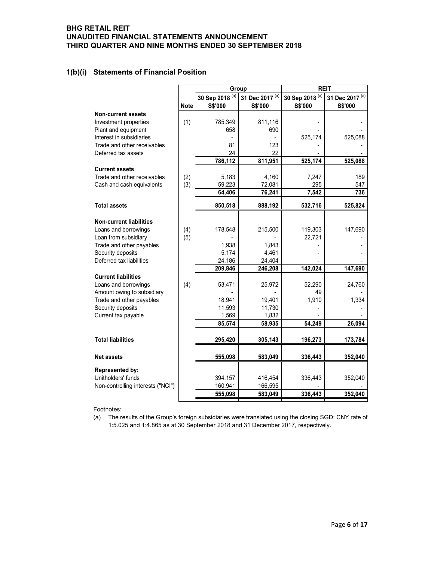#### 1(b)(i) Statements of Financial Position

| <b>ETAIL REIT</b><br>DITED FINANCIAL STATEMENTS ANNOUNCEMENT<br><b>QUARTER AND NINE MONTHS ENDED 30 SEPTEMBER 2018</b> |             |                    |                            |                 |                          |
|------------------------------------------------------------------------------------------------------------------------|-------------|--------------------|----------------------------|-----------------|--------------------------|
|                                                                                                                        |             |                    |                            |                 |                          |
|                                                                                                                        |             |                    |                            |                 |                          |
|                                                                                                                        |             |                    |                            |                 |                          |
|                                                                                                                        |             |                    |                            |                 |                          |
|                                                                                                                        |             |                    |                            |                 |                          |
|                                                                                                                        |             |                    |                            |                 |                          |
|                                                                                                                        |             |                    |                            |                 |                          |
|                                                                                                                        |             |                    |                            |                 |                          |
|                                                                                                                        |             |                    |                            |                 |                          |
|                                                                                                                        |             |                    |                            |                 |                          |
|                                                                                                                        |             |                    |                            |                 |                          |
| <b>Statements of Financial Position</b>                                                                                |             |                    |                            |                 |                          |
|                                                                                                                        |             |                    |                            |                 |                          |
|                                                                                                                        |             |                    | Group                      | <b>REIT</b>     |                          |
|                                                                                                                        |             | 30 Sep 2018 (a)    | 31 Dec 2017 <sup>(a)</sup> | 30 Sep 2018 (a) | 31 Dec 2017 (a)          |
|                                                                                                                        | <b>Note</b> | S\$'000            | S\$'000                    | S\$'000         | S\$'000                  |
| <b>Non-current assets</b><br>Investment properties                                                                     | (1)         | 785,349            | 811,116                    |                 | $\sim$                   |
| Plant and equipment                                                                                                    |             | 658                | 690                        |                 |                          |
| Interest in subsidiaries                                                                                               |             |                    |                            | 525,174         | 525,088                  |
| Trade and other receivables<br>Deferred tax assets                                                                     |             | 81<br>24           | 123<br>22                  |                 |                          |
|                                                                                                                        |             | 786,112            | 811,951                    | 525,174         | 525,088                  |
| <b>Current assets</b>                                                                                                  |             |                    |                            |                 |                          |
| Trade and other receivables<br>Cash and cash equivalents                                                               | (2)<br>(3)  | 5,183<br>59,223    | 4,160<br>72,081            | 7,247<br>295    | 189<br>547               |
|                                                                                                                        |             | 64,406             | 76,241                     | 7,542           | 736                      |
| <b>Total assets</b>                                                                                                    |             | 850,518            | 888,192                    | 532,716         | 525,824                  |
|                                                                                                                        |             |                    |                            |                 |                          |
| <b>Non-current liabilities</b>                                                                                         |             |                    |                            |                 |                          |
| Loans and borrowings                                                                                                   | (4)         | 178,548            | 215,500                    | 119,303         | 147,690                  |
| Loan from subsidiary<br>Trade and other payables                                                                       | (5)         | 1,938              | 1,843                      | 22,721          | $\overline{\phantom{a}}$ |
| Security deposits                                                                                                      |             | 5,174              | 4,461                      |                 |                          |
| Deferred tax liabilities                                                                                               |             | 24,186             | 24,404                     |                 |                          |
| <b>Current liabilities</b>                                                                                             |             | 209,846            | 246,208                    | 142,024         | 147,690                  |
| Loans and borrowings                                                                                                   | (4)         | 53,471             | 25,972                     | 52,290          | 24,760                   |
| Amount owing to subsidiary                                                                                             |             |                    |                            | 49              |                          |
| Trade and other payables<br>Security deposits                                                                          |             | 18,941<br>11,593   | 19,401<br>11,730           | 1,910           | 1,334                    |
| Current tax payable                                                                                                    |             | 1,569              | 1,832                      |                 |                          |
|                                                                                                                        |             | 85,574             | 58,935                     | 54,249          | 26,094                   |
| <b>Total liabilities</b>                                                                                               |             | 295,420            | 305,143                    | 196,273         | 173,784                  |
|                                                                                                                        |             |                    |                            |                 |                          |
| <b>Net assets</b>                                                                                                      |             | 555,098            | 583,049                    | 336,443         | 352,040                  |
| <b>Represented by:</b>                                                                                                 |             |                    |                            |                 |                          |
| Unitholders' funds                                                                                                     |             | 394,157            | 416,454                    | 336,443         | 352,040                  |
| Non-controlling interests ("NCI")                                                                                      |             | 160,941<br>555,098 | 166,595<br>583,049         | 336,443         |                          |
|                                                                                                                        |             |                    |                            |                 | 352,040                  |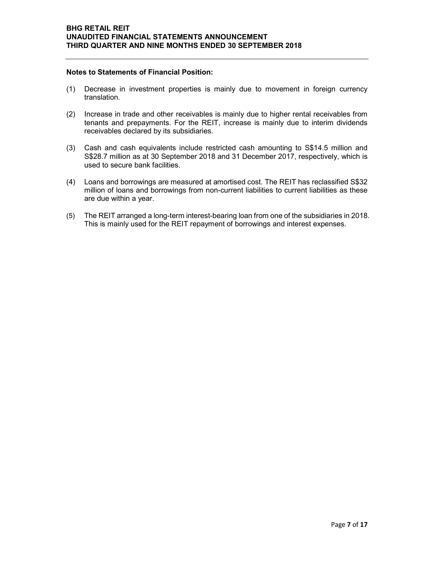#### Notes to Statements of Financial Position:

- (1) Decrease in investment properties is mainly due to movement in foreign currency translation.
- (2) Increase in trade and other receivables is mainly due to higher rental receivables from tenants and prepayments. For the REIT, increase is mainly due to interim dividends receivables declared by its subsidiaries.
- (3) Cash and cash equivalents include restricted cash amounting to S\$14.5 million and S\$28.7 million as at 30 September 2018 and 31 December 2017, respectively, which is used to secure bank facilities.
- (4) Loans and borrowings are measured at amortised cost. The REIT has reclassified S\$32 million of loans and borrowings from non-current liabilities to current liabilities as these are due within a year.
- (5) The REIT arranged a long-term interest-bearing loan from one of the subsidiaries in 2018. This is mainly used for the REIT repayment of borrowings and interest expenses.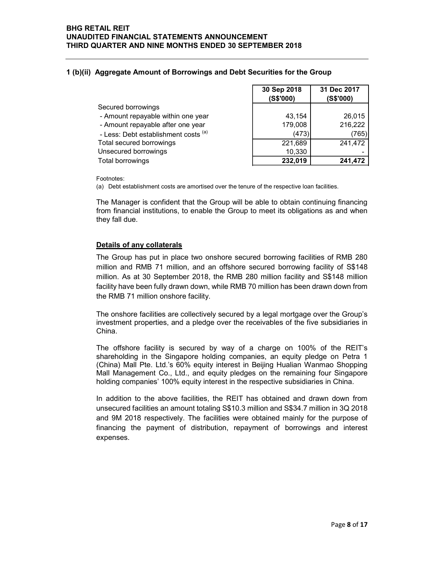| <b>TAIL REIT</b>                                                 |                   |             |
|------------------------------------------------------------------|-------------------|-------------|
|                                                                  |                   |             |
| TED FINANCIAL STATEMENTS ANNOUNCEMENT                            |                   |             |
| <b>UARTER AND NINE MONTHS ENDED 30 SEPTEMBER 2018</b>            |                   |             |
|                                                                  |                   |             |
|                                                                  |                   |             |
| Aggregate Amount of Borrowings and Debt Securities for the Group |                   |             |
|                                                                  | 30 Sep 2018       | 31 Dec 2017 |
|                                                                  | (S\$'000)         | (S\$'000)   |
| Secured borrowings                                               |                   |             |
| - Amount repayable within one year                               | 43,154            | 26,015      |
| - Amount repayable after one year                                | 179,008           | 216,222     |
| - Less: Debt establishment costs (a)                             | (473)             | (765)       |
| Total secured borrowings                                         | 221,689           | 241,472     |
| Unsecured borrowings<br>Total borrowings                         | 10,330<br>232,019 | 241,472     |

# 1 (b)(ii) Aggregate Amount of Borrowings and Debt Securities for the Group

Footnotes:

(a) Debt establishment costs are amortised over the tenure of the respective loan facilities.

The Manager is confident that the Group will be able to obtain continuing financing from financial institutions, to enable the Group to meet its obligations as and when they fall due.

#### Details of any collaterals

The Group has put in place two onshore secured borrowing facilities of RMB 280 million and RMB 71 million, and an offshore secured borrowing facility of S\$148 million. As at 30 September 2018, the RMB 280 million facility and S\$148 million facility have been fully drawn down, while RMB 70 million has been drawn down from the RMB 71 million onshore facility.

The onshore facilities are collectively secured by a legal mortgage over the Group's investment properties, and a pledge over the receivables of the five subsidiaries in China.

The offshore facility is secured by way of a charge on 100% of the REIT's shareholding in the Singapore holding companies, an equity pledge on Petra 1 (China) Mall Pte. Ltd.'s 60% equity interest in Beijing Hualian Wanmao Shopping Mall Management Co., Ltd., and equity pledges on the remaining four Singapore holding companies' 100% equity interest in the respective subsidiaries in China.

In addition to the above facilities, the REIT has obtained and drawn down from unsecured facilities an amount totaling S\$10.3 million and S\$34.7 million in 3Q 2018 and 9M 2018 respectively. The facilities were obtained mainly for the purpose of financing the payment of distribution, repayment of borrowings and interest expenses.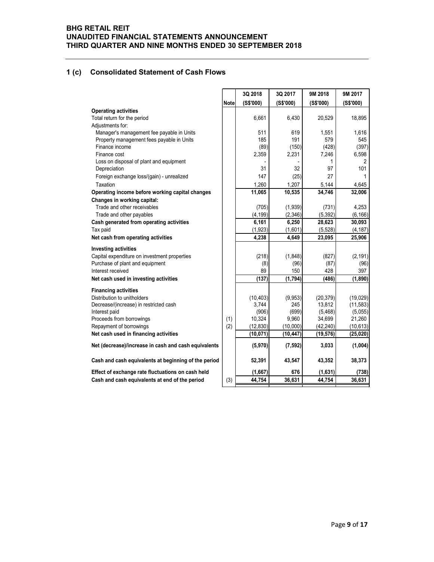# 1 (c) Consolidated Statement of Cash Flows

| <b>RETAIL REIT</b><br>DITED FINANCIAL STATEMENTS ANNOUNCEMENT<br><b>QUARTER AND NINE MONTHS ENDED 30 SEPTEMBER 2018</b> |              |                   |                  |                    |                    |
|-------------------------------------------------------------------------------------------------------------------------|--------------|-------------------|------------------|--------------------|--------------------|
|                                                                                                                         |              |                   |                  |                    |                    |
|                                                                                                                         |              |                   |                  |                    |                    |
|                                                                                                                         |              |                   |                  |                    |                    |
|                                                                                                                         |              |                   |                  |                    |                    |
|                                                                                                                         |              |                   |                  |                    |                    |
|                                                                                                                         |              |                   |                  |                    |                    |
|                                                                                                                         |              |                   |                  |                    |                    |
|                                                                                                                         |              |                   |                  |                    |                    |
|                                                                                                                         |              |                   |                  |                    |                    |
|                                                                                                                         |              |                   |                  |                    |                    |
|                                                                                                                         |              |                   |                  |                    |                    |
| <b>Consolidated Statement of Cash Flows</b>                                                                             |              |                   |                  |                    |                    |
|                                                                                                                         |              |                   |                  |                    |                    |
|                                                                                                                         |              |                   |                  |                    |                    |
|                                                                                                                         |              | 3Q 2018           | 3Q 2017          | 9M 2018            | 9M 2017            |
| <b>Operating activities</b>                                                                                             | <b>Notel</b> | (S\$'000)         | (S\$'000)        | (S\$'000)          | (S\$'000)          |
| Total return for the period                                                                                             |              | 6,661             | 6,430            | 20,529             | 18,895             |
| Adjustments for:                                                                                                        |              | 511               |                  |                    |                    |
| Manager's management fee payable in Units<br>Property management fees payable in Units                                  |              | 185               | 619<br>191       | 1,551<br>579       | 1,616<br>545       |
| Finance income                                                                                                          |              | (89)              | (150)            | (428)              | (397)              |
| Finance cost<br>Loss on disposal of plant and equipment                                                                 |              | 2,359             | 2,231            | 7,246              | 6,598<br>2         |
| Depreciation                                                                                                            |              | 31                | 32               | 97                 | 101                |
| Foreign exchange loss/(gain) - unrealized                                                                               |              | 147               | (25)             | 27                 |                    |
| Taxation                                                                                                                |              | 1,260             | 1,207            | 5,144              | 4,645              |
| Operating income before working capital changes<br>Changes in working capital:                                          |              | 11,065            | 10,535           | 34,746             | 32,006             |
| Trade and other receivables                                                                                             |              | (705)             | (1,939)          | (731)              | 4,253              |
| Trade and other payables                                                                                                |              | (4, 199)          | (2, 346)         | (5, 392)           | (6, 166)           |
| Cash generated from operating activities<br>Tax paid                                                                    |              | 6,161<br>(1,923)  | 6,250<br>(1,601) | 28,623<br>(5, 528) | 30,093<br>(4, 187) |
| Net cash from operating activities                                                                                      |              | 4,238             | 4,649            | 23,095             | 25,906             |
| <b>Investing activities</b>                                                                                             |              |                   |                  |                    |                    |
| Capital expenditure on investment properties                                                                            |              | (218)             | (1,848)          | (827)              | (2, 191)           |
| Purchase of plant and equipment<br>Interest received                                                                    |              | (8)<br>89         | (96)<br>150      | (87)<br>428        | (96)<br>397        |
| Net cash used in investing activities                                                                                   |              | (137)             | (1, 794)         | (486)              | (1,890)            |
| <b>Financing activities</b>                                                                                             |              |                   |                  |                    |                    |
| Distribution to unitholders                                                                                             |              | (10, 403)         | (9,953)          | (20, 379)          | (19,029)           |
| Decrease/(increase) in restricted cash                                                                                  |              | 3,744             | 245              | 13,812             | (11, 583)          |
| Interest paid<br>Proceeds from borrowings                                                                               | (1)          | (906)<br>10,324   | (699)<br>9,960   | (5, 468)<br>34,699 | (5,055)<br>21,260  |
| Repayment of borrowings                                                                                                 | (2)          | (12, 830)         | (10,000)         | (42, 240)          | (10, 613)          |
| Net cash used in financing activities                                                                                   |              | (10, 071)         | (10, 447)        | (19, 576)          | (25, 020)          |
| Net (decrease)/increase in cash and cash equivalents                                                                    |              | (5,970)           | (7, 592)         | 3,033              | (1,004)            |
| Cash and cash equivalents at beginning of the period                                                                    |              | 52,391            | 43,547           | 43,352             | 38,373             |
| Effect of exchange rate fluctuations on cash held                                                                       | (3)          | (1,667)<br>44,754 | 676              | (1,631)            | (738)              |
| Cash and cash equivalents at end of the period                                                                          |              |                   | 36,631           | 44,754             | 36,631             |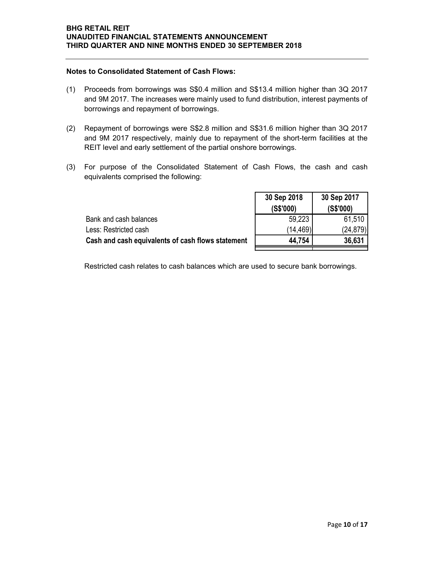#### Notes to Consolidated Statement of Cash Flows:

- (1) Proceeds from borrowings was S\$0.4 million and S\$13.4 million higher than 3Q 2017 and 9M 2017. The increases were mainly used to fund distribution, interest payments of borrowings and repayment of borrowings.
- (2) Repayment of borrowings were S\$2.8 million and S\$31.6 million higher than 3Q 2017 and 9M 2017 respectively, mainly due to repayment of the short-term facilities at the REIT level and early settlement of the partial onshore borrowings.
- (3) For purpose of the Consolidated Statement of Cash Flows, the cash and cash equivalents comprised the following:

| to Consolidated Statement of Cash Flows:                                                                                                                                                                                                           |                          |                          |
|----------------------------------------------------------------------------------------------------------------------------------------------------------------------------------------------------------------------------------------------------|--------------------------|--------------------------|
| Proceeds from borrowings was S\$0.4 million and S\$13.4 million higher than 3Q 2017<br>and 9M 2017. The increases were mainly used to fund distribution, interest payments of<br>porrowings and repayment of borrowings.                           |                          |                          |
|                                                                                                                                                                                                                                                    |                          |                          |
| Repayment of borrowings were S\$2.8 million and S\$31.6 million higher than 3Q 2017<br>and 9M 2017 respectively, mainly due to repayment of the short-term facilities at the<br>REIT level and early settlement of the partial onshore borrowings. |                          |                          |
| For purpose of the Consolidated Statement of Cash Flows, the cash and cash<br>equivalents comprised the following:                                                                                                                                 |                          |                          |
|                                                                                                                                                                                                                                                    | 30 Sep 2018<br>(S\$'000) | 30 Sep 2017<br>(S\$'000) |
| Bank and cash balances                                                                                                                                                                                                                             | 59,223                   | 61,510                   |
| Less: Restricted cash                                                                                                                                                                                                                              | (14,469)                 | (24, 879)                |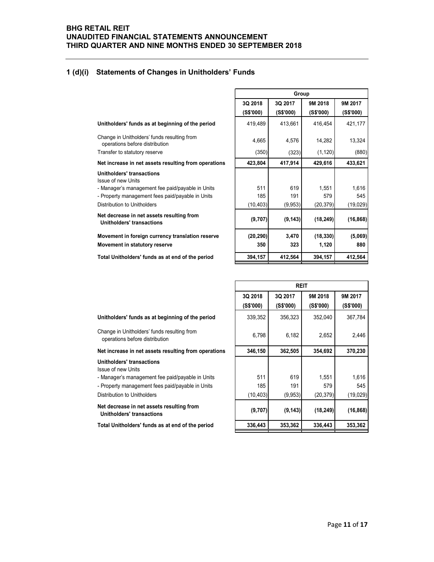#### 1 (d)(i) Statements of Changes in Unitholders' Funds

| <b>TAIL REIT</b><br>TED FINANCIAL STATEMENTS ANNOUNCEMENT                     |                      |                      |                      |                      |
|-------------------------------------------------------------------------------|----------------------|----------------------|----------------------|----------------------|
| <b>UARTER AND NINE MONTHS ENDED 30 SEPTEMBER 2018</b>                         |                      |                      |                      |                      |
|                                                                               |                      |                      |                      |                      |
| <b>Statements of Changes in Unitholders' Funds</b>                            |                      |                      |                      |                      |
|                                                                               |                      | Group                |                      |                      |
|                                                                               | 3Q 2018<br>(S\$'000) | 3Q 2017<br>(S\$'000) | 9M 2018<br>(S\$'000) | 9M 2017<br>(S\$'000) |
| Unitholders' funds as at beginning of the period                              | 419,489              | 413,661              | 416,454              | 421,177              |
| Change in Unitholders' funds resulting from<br>operations before distribution | 4,665                | 4,576                | 14,282               | 13,324               |
| Transfer to statutory reserve                                                 | (350)                | (323)                | (1, 120)             | (880)                |
| Net increase in net assets resulting from operations                          | 423,804              | 417,914              | 429,616              | 433,621              |
| Unitholders' transactions<br><b>Issue of new Units</b>                        |                      |                      |                      |                      |
| - Manager's management fee paid/payable in Units                              | 511                  | 619                  | 1,551                | 1,616                |
| - Property management fees paid/payable in Units                              | 185                  | 191                  | 579                  | 545                  |
| Distribution to Unitholders                                                   | (10, 403)            | (9,953)              | (20, 379)            | (19,029)             |
| Net decrease in net assets resulting from<br>Unitholders' transactions        | (9,707)              | (9, 143)             | (18, 249)            | (16, 868)            |
| Movement in foreign currency translation reserve                              | (20, 290)            | 3,470                | (18, 330)            | (5,069)              |
| Movement in statutory reserve                                                 | 350                  | 323                  | 1,120                | 880                  |
| Total Unitholders' funds as at end of the period                              | 394,157              | 412,564              | 394,157              | 412,564              |
|                                                                               |                      |                      |                      |                      |
|                                                                               |                      | <b>REIT</b>          |                      |                      |
|                                                                               | 3Q 2018<br>(S\$'000) | 3Q 2017<br>(S\$'000) | 9M 2018<br>(S\$'000) | 9M 2017<br>(S\$'000) |
| Unitholders' funds as at beginning of the period                              | 339,352              | 356,323              | 352,040              | 367,784              |
| Change in Unitholders' funds resulting from<br>operations before distribution | 6,798                | 6,182                | 2,652                | 2,446                |
| Net increase in net assets resulting from operations                          | 346,150              | 362,505              | 354,692              | 370,230              |
| <b>Unitholders' transactions</b><br>Issue of new Units                        |                      |                      |                      |                      |
| - Manager's management fee paid/payable in Units                              | 511                  | 619                  | 1,551                | 1,616                |
| - Property management fees paid/payable in Units                              | 185                  | 191                  | 579                  | 545                  |
| Distribution to Unitholders                                                   | (10, 403)            | (9.953)              | (20.379)             | (19.029)             |

| Property management fees paid/payable in Units                                | 185       | 191         | 579       | 545       |
|-------------------------------------------------------------------------------|-----------|-------------|-----------|-----------|
| Distribution to Unitholders                                                   | (10, 403) | (9,953)     | (20, 379) | (19,029)  |
| Net decrease in net assets resulting from<br><b>Unitholders' transactions</b> | (9,707)   | (9, 143)    | (18, 249) | (16, 868) |
| Movement in foreign currency translation reserve                              | (20, 290) | 3,470       | (18, 330) | (5,069)   |
| Movement in statutory reserve                                                 | 350       | 323         | 1,120     | 880       |
| Total Unitholders' funds as at end of the period                              | 394,157   | 412,564     | 394,157   | 412,564   |
|                                                                               |           |             |           |           |
|                                                                               |           | <b>REIT</b> |           |           |
|                                                                               | 3Q 2018   | 3Q 2017     | 9M 2018   | 9M 2017   |
|                                                                               | (S\$'000) | (S\$'000)   | (S\$'000) | (S\$'000) |
| Unitholders' funds as at beginning of the period                              | 339,352   | 356,323     | 352,040   | 367,784   |
| Change in Unitholders' funds resulting from<br>operations before distribution | 6,798     | 6,182       | 2,652     | 2,446     |
| Net increase in net assets resulting from operations                          | 346,150   | 362,505     | 354,692   | 370,230   |
| <b>Unitholders' transactions</b><br><b>Issue of new Units</b>                 |           |             |           |           |
| - Manager's management fee paid/payable in Units                              | 511       | 619         | 1,551     | 1,616     |
| - Property management fees paid/payable in Units                              | 185       | 191         | 579       | 545       |
| Distribution to Unitholders                                                   | (10, 403) | (9,953)     | (20, 379) | (19,029)  |
| Net decrease in net assets resulting from<br>Unitholders' transactions        | (9,707)   | (9, 143)    | (18, 249) | (16, 868) |
| Total Unitholders' funds as at end of the period                              | 336,443   | 353,362     | 336,443   | 353,362   |

# Unitholders' funds as at beginning of the period<br>Change in Unitholders' funds resulting from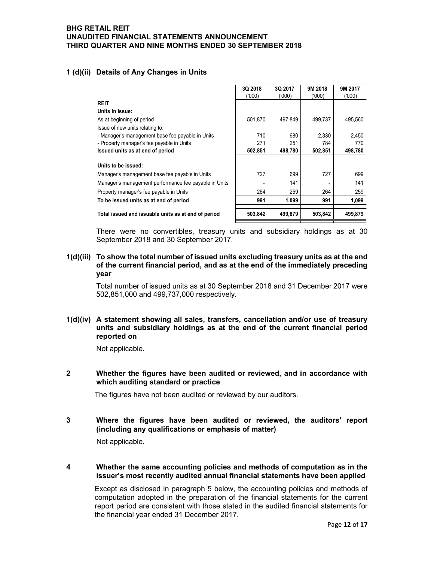# 1 (d)(ii) Details of Any Changes in Units

| <b>AIL REIT</b>                                                                                                      |                |                |                |                |
|----------------------------------------------------------------------------------------------------------------------|----------------|----------------|----------------|----------------|
|                                                                                                                      |                |                |                |                |
|                                                                                                                      |                |                |                |                |
|                                                                                                                      |                |                |                |                |
|                                                                                                                      |                |                |                |                |
|                                                                                                                      |                |                |                |                |
|                                                                                                                      |                |                |                |                |
|                                                                                                                      |                |                |                |                |
|                                                                                                                      |                |                |                |                |
| <b>ED FINANCIAL STATEMENTS ANNOUNCEMENT</b><br><b>UARTER AND NINE MONTHS ENDED 30 SEPTEMBER 2018</b>                 |                |                |                |                |
|                                                                                                                      |                |                |                |                |
|                                                                                                                      |                |                |                |                |
| Details of Any Changes in Units                                                                                      |                |                |                |                |
|                                                                                                                      |                |                |                |                |
|                                                                                                                      | 3Q 2018        | 3Q 2017        | 9M 2018        | 9M 2017        |
| REIT                                                                                                                 | (000)          | (000)          | (000)          | (000)          |
| Units in issue:                                                                                                      |                |                |                |                |
| As at beginning of period                                                                                            | 501,870        | 497,849        | 499,737        | 495,560        |
| Issue of new units relating to:                                                                                      |                |                |                |                |
| - Manager's management base fee payable in Units                                                                     | 710            | 680            | 2,330          | 2,450          |
| - Property manager's fee payable in Units                                                                            | 271<br>502,851 | 251<br>498,780 | 784<br>502,851 | 770<br>498,780 |
|                                                                                                                      |                |                |                |                |
| Issued units as at end of period                                                                                     |                |                |                |                |
| Units to be issued:                                                                                                  |                |                |                | 699            |
| Manager's management base fee payable in Units                                                                       | 727            | 699            | 727            |                |
| Manager's management performance fee payable in Units                                                                |                | 141            |                | 141            |
| Property manager's fee payable in Units                                                                              | 264            | 259            | 264            | 259            |
| To be issued units as at end of period                                                                               | 991            | 1,099          | 991            | 1,099          |
|                                                                                                                      | 503,842        | 499,879        | 503,842        | 499,879        |
|                                                                                                                      |                |                |                |                |
| Total issued and issuable units as at end of period                                                                  |                |                |                |                |
| There were no convertibles, treasury units and subsidiary holdings as at 30<br>September 2018 and 30 September 2017. |                |                |                |                |

1(d)(iii) To show the total number of issued units excluding treasury units as at the end of the current financial period, and as at the end of the immediately preceding year

Total number of issued units as at 30 September 2018 and 31 December 2017 were 502,851,000 and 499,737,000 respectively.

1(d)(iv) A statement showing all sales, transfers, cancellation and/or use of treasury units and subsidiary holdings as at the end of the current financial period reported on

Not applicable.

2 Whether the figures have been audited or reviewed, and in accordance with which auditing standard or practice

The figures have not been audited or reviewed by our auditors.

3 Where the figures have been audited or reviewed, the auditors' report (including any qualifications or emphasis of matter)

Not applicable.

4 Whether the same accounting policies and methods of computation as in the issuer's most recently audited annual financial statements have been applied

 Except as disclosed in paragraph 5 below, the accounting policies and methods of computation adopted in the preparation of the financial statements for the current report period are consistent with those stated in the audited financial statements for the financial year ended 31 December 2017.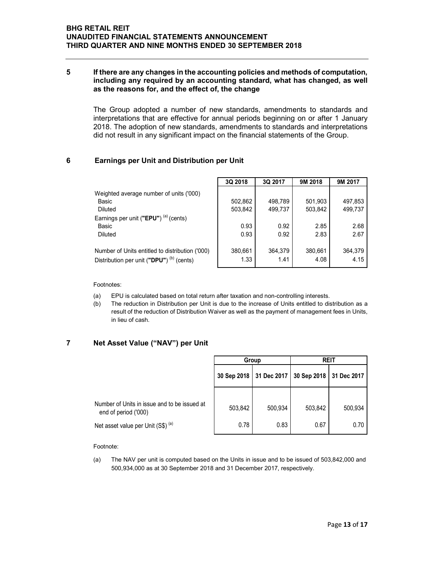#### 5 If there are any changes in the accounting policies and methods of computation, including any required by an accounting standard, what has changed, as well as the reasons for, and the effect of, the change

# 6 Earnings per Unit and Distribution per Unit

| :TAIL REIT<br>ITED FINANCIAL STATEMENTS ANNOUNCEMENT<br>QUARTER AND NINE MONTHS ENDED 30 SEPTEMBER 2018 |                                                                                                                                                                                                                                                                                                                                             |                    |                    |                    |                    |  |  |
|---------------------------------------------------------------------------------------------------------|---------------------------------------------------------------------------------------------------------------------------------------------------------------------------------------------------------------------------------------------------------------------------------------------------------------------------------------------|--------------------|--------------------|--------------------|--------------------|--|--|
|                                                                                                         | If there are any changes in the accounting policies and methods of computation,<br>including any required by an accounting standard, what has changed, as well<br>as the reasons for, and the effect of, the change                                                                                                                         |                    |                    |                    |                    |  |  |
|                                                                                                         | The Group adopted a number of new standards, amendments to standards and<br>interpretations that are effective for annual periods beginning on or after 1 January<br>2018. The adoption of new standards, amendments to standards and interpretations<br>did not result in any significant impact on the financial statements of the Group. |                    |                    |                    |                    |  |  |
|                                                                                                         | Earnings per Unit and Distribution per Unit                                                                                                                                                                                                                                                                                                 |                    |                    |                    |                    |  |  |
|                                                                                                         |                                                                                                                                                                                                                                                                                                                                             | 3Q 2018            | 3Q 2017            | 9M 2018            | 9M 2017            |  |  |
| Basic<br>Diluted                                                                                        | Weighted average number of units ('000)                                                                                                                                                                                                                                                                                                     | 502,862<br>503,842 | 498,789<br>499,737 | 501,903<br>503,842 | 497,853<br>499,737 |  |  |
| Basic<br>Diluted                                                                                        | Earnings per unit ("EPU") <sup>(a)</sup> (cents)                                                                                                                                                                                                                                                                                            | 0.93<br>0.93       | 0.92<br>0.92       | 2.85<br>2.83       | 2.68<br>2.67       |  |  |
|                                                                                                         | Number of Units entitled to distribution ('000)<br>Distribution per unit ("DPU") <sup>(b)</sup> (cents)                                                                                                                                                                                                                                     | 380,661<br>1.33    | 364,379<br>1.41    | 380,661<br>4.08    | 364,379<br>4.15    |  |  |
| Footnotes:                                                                                              |                                                                                                                                                                                                                                                                                                                                             |                    |                    |                    |                    |  |  |
| (a)<br>(b)                                                                                              | EPU is calculated based on total return after taxation and non-controlling interests.<br>The reduction in Distribution per Unit is due to the increase of Units entitled to distribution as a<br>result of the reduction of Distribution Waiver as well as the payment of management fees in Units,<br>in lieu of cash.                     |                    |                    |                    |                    |  |  |
|                                                                                                         | Net Asset Value ("NAV") per Unit                                                                                                                                                                                                                                                                                                            |                    |                    |                    |                    |  |  |
|                                                                                                         |                                                                                                                                                                                                                                                                                                                                             | Group              |                    | <b>REIT</b>        |                    |  |  |
|                                                                                                         |                                                                                                                                                                                                                                                                                                                                             | 30 Sep 2018        | 31 Dec 2017        | 30 Sep 2018        | 31 Dec 2017        |  |  |
|                                                                                                         | Number of Units in issue and to be issued at<br>end of period ('000)                                                                                                                                                                                                                                                                        | 503,842            | 500,934            | 503,842            | 500,934            |  |  |
|                                                                                                         | Net asset value per Unit (S\$) (a)                                                                                                                                                                                                                                                                                                          | 0.78               | 0.83               | 0.67               | 0.70               |  |  |

#### Footnotes:

- (a) EPU is calculated based on total return after taxation and non-controlling interests.
- (b) The reduction in Distribution per Unit is due to the increase of Units entitled to distribution as a result of the reduction of Distribution Waiver as well as the payment of management fees in Units, in lieu of cash.

#### 7 Net Asset Value ("NAV") per Unit

|                                                                                                               |                 | Group           | <b>REIT</b>     |                 |
|---------------------------------------------------------------------------------------------------------------|-----------------|-----------------|-----------------|-----------------|
|                                                                                                               | 30 Sep 2018     | 31 Dec 2017     | 30 Sep 2018     | 31 Dec 2017     |
| Number of Units in issue and to be issued at<br>end of period ('000)<br>Net asset value per Unit $(S$)^{(a)}$ | 503,842<br>0.78 | 500,934<br>0.83 | 503,842<br>0.67 | 500,934<br>0.70 |

#### Footnote:

(a) The NAV per unit is computed based on the Units in issue and to be issued of 503,842,000 and 500,934,000 as at 30 September 2018 and 31 December 2017, respectively.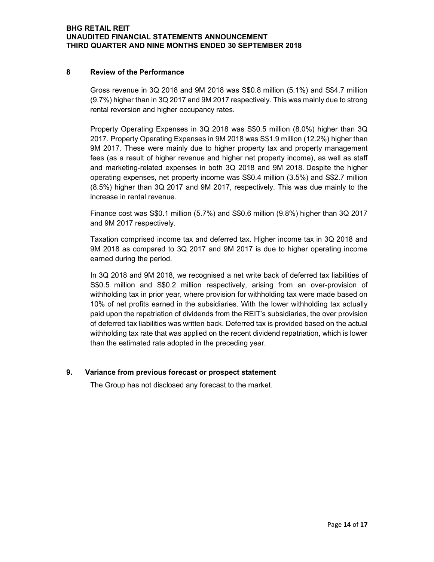#### 8 Review of the Performance

Gross revenue in 3Q 2018 and 9M 2018 was S\$0.8 million (5.1%) and S\$4.7 million (9.7%) higher than in 3Q 2017 and 9M 2017 respectively. This was mainly due to strong rental reversion and higher occupancy rates.

Property Operating Expenses in 3Q 2018 was S\$0.5 million (8.0%) higher than 3Q 2017. Property Operating Expenses in 9M 2018 was S\$1.9 million (12.2%) higher than 9M 2017. These were mainly due to higher property tax and property management fees (as a result of higher revenue and higher net property income), as well as staff and marketing-related expenses in both 3Q 2018 and 9M 2018. Despite the higher operating expenses, net property income was S\$0.4 million (3.5%) and S\$2.7 million (8.5%) higher than 3Q 2017 and 9M 2017, respectively. This was due mainly to the increase in rental revenue.

Finance cost was S\$0.1 million (5.7%) and S\$0.6 million (9.8%) higher than 3Q 2017 and 9M 2017 respectively.

Taxation comprised income tax and deferred tax. Higher income tax in 3Q 2018 and 9M 2018 as compared to 3Q 2017 and 9M 2017 is due to higher operating income earned during the period.

In 3Q 2018 and 9M 2018, we recognised a net write back of deferred tax liabilities of S\$0.5 million and S\$0.2 million respectively, arising from an over-provision of withholding tax in prior year, where provision for withholding tax were made based on 10% of net profits earned in the subsidiaries. With the lower withholding tax actually paid upon the repatriation of dividends from the REIT's subsidiaries, the over provision of deferred tax liabilities was written back. Deferred tax is provided based on the actual withholding tax rate that was applied on the recent dividend repatriation, which is lower than the estimated rate adopted in the preceding year.

#### 9. Variance from previous forecast or prospect statement

The Group has not disclosed any forecast to the market.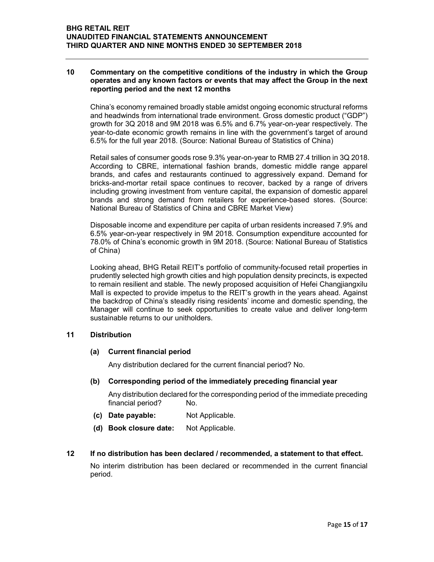#### 10 Commentary on the competitive conditions of the industry in which the Group operates and any known factors or events that may affect the Group in the next reporting period and the next 12 months

China's economy remained broadly stable amidst ongoing economic structural reforms and headwinds from international trade environment. Gross domestic product ("GDP") growth for 3Q 2018 and 9M 2018 was 6.5% and 6.7% year-on-year respectively. The year-to-date economic growth remains in line with the government's target of around 6.5% for the full year 2018. (Source: National Bureau of Statistics of China)

Retail sales of consumer goods rose 9.3% year-on-year to RMB 27.4 trillion in 3Q 2018. According to CBRE, international fashion brands, domestic middle range apparel brands, and cafes and restaurants continued to aggressively expand. Demand for bricks-and-mortar retail space continues to recover, backed by a range of drivers including growing investment from venture capital, the expansion of domestic apparel brands and strong demand from retailers for experience-based stores. (Source: National Bureau of Statistics of China and CBRE Market View)

Disposable income and expenditure per capita of urban residents increased 7.9% and 6.5% year-on-year respectively in 9M 2018. Consumption expenditure accounted for 78.0% of China's economic growth in 9M 2018. (Source: National Bureau of Statistics of China)

Looking ahead, BHG Retail REIT's portfolio of community-focused retail properties in prudently selected high growth cities and high population density precincts, is expected to remain resilient and stable. The newly proposed acquisition of Hefei Changjiangxilu Mall is expected to provide impetus to the REIT's growth in the years ahead. Against the backdrop of China's steadily rising residents' income and domestic spending, the Manager will continue to seek opportunities to create value and deliver long-term sustainable returns to our unitholders.

#### 11 Distribution

#### (a) Current financial period

Any distribution declared for the current financial period? No.

#### (b) Corresponding period of the immediately preceding financial year

Any distribution declared for the corresponding period of the immediate preceding financial period? No.

- (c) Date payable: Not Applicable.
- (d) Book closure date: Not Applicable.

#### 12 If no distribution has been declared / recommended, a statement to that effect.

No interim distribution has been declared or recommended in the current financial period.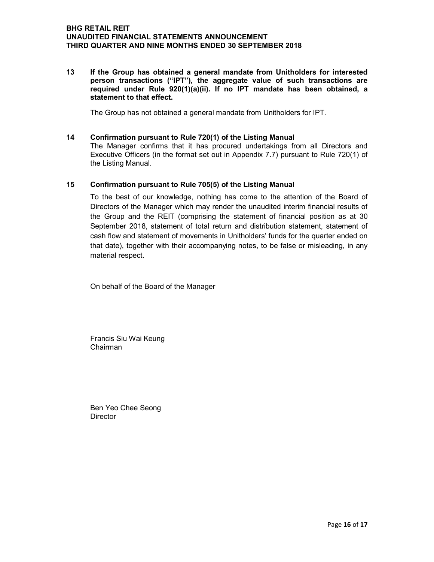13 If the Group has obtained a general mandate from Unitholders for interested person transactions ("IPT"), the aggregate value of such transactions are required under Rule 920(1)(a)(ii). If no IPT mandate has been obtained, a statement to that effect.

The Group has not obtained a general mandate from Unitholders for IPT.

#### 14 Confirmation pursuant to Rule 720(1) of the Listing Manual

The Manager confirms that it has procured undertakings from all Directors and Executive Officers (in the format set out in Appendix 7.7) pursuant to Rule 720(1) of the Listing Manual.

#### 15 Confirmation pursuant to Rule 705(5) of the Listing Manual

To the best of our knowledge, nothing has come to the attention of the Board of Directors of the Manager which may render the unaudited interim financial results of the Group and the REIT (comprising the statement of financial position as at 30 September 2018, statement of total return and distribution statement, statement of cash flow and statement of movements in Unitholders' funds for the quarter ended on that date), together with their accompanying notes, to be false or misleading, in any material respect.

On behalf of the Board of the Manager

Francis Siu Wai Keung Chairman

Ben Yeo Chee Seong **Director**